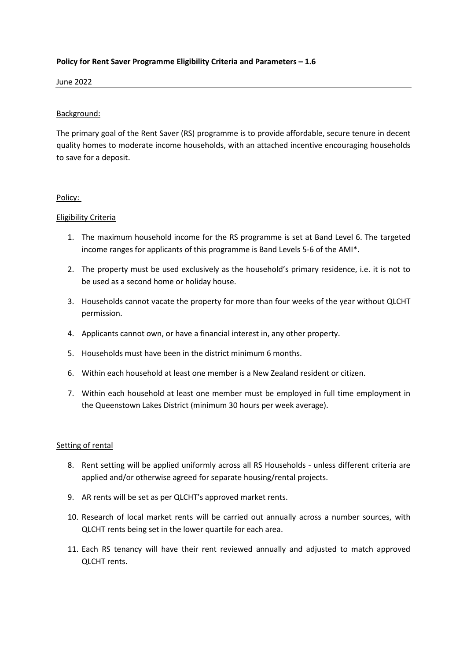# **Policy for Rent Saver Programme Eligibility Criteria and Parameters – 1.6**

June 2022

## Background:

The primary goal of the Rent Saver (RS) programme is to provide affordable, secure tenure in decent quality homes to moderate income households, with an attached incentive encouraging households to save for a deposit.

### Policy:

### Eligibility Criteria

- 1. The maximum household income for the RS programme is set at Band Level 6. The targeted income ranges for applicants of this programme is Band Levels 5-6 of the AMI\*.
- 2. The property must be used exclusively as the household's primary residence, i.e. it is not to be used as a second home or holiday house.
- 3. Households cannot vacate the property for more than four weeks of the year without QLCHT permission.
- 4. Applicants cannot own, or have a financial interest in, any other property.
- 5. Households must have been in the district minimum 6 months.
- 6. Within each household at least one member is a New Zealand resident or citizen.
- 7. Within each household at least one member must be employed in full time employment in the Queenstown Lakes District (minimum 30 hours per week average).

## Setting of rental

- 8. Rent setting will be applied uniformly across all RS Households unless different criteria are applied and/or otherwise agreed for separate housing/rental projects.
- 9. AR rents will be set as per QLCHT's approved market rents.
- 10. Research of local market rents will be carried out annually across a number sources, with QLCHT rents being set in the lower quartile for each area.
- 11. Each RS tenancy will have their rent reviewed annually and adjusted to match approved QLCHT rents.